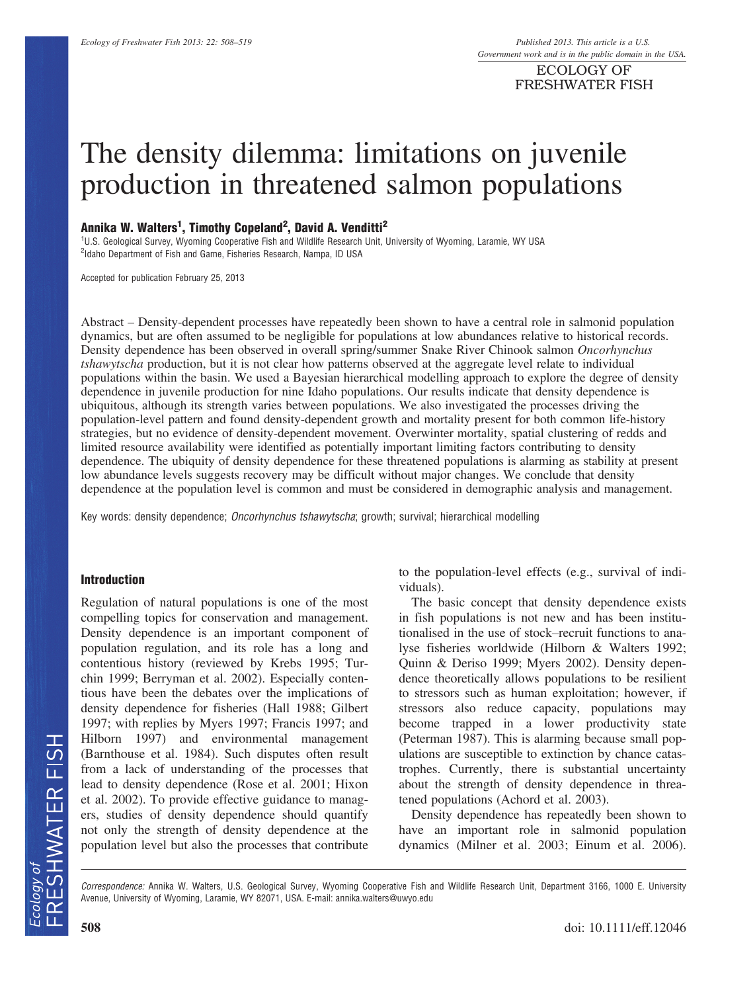ECOLOGY OF FRESHWATER FISH

# The density dilemma: limitations on juvenile production in threatened salmon populations

## Annika W. Walters<sup>1</sup>, Timothy Copeland<sup>2</sup>, David A. Venditti<sup>2</sup>

1 U.S. Geological Survey, Wyoming Cooperative Fish and Wildlife Research Unit, University of Wyoming, Laramie, WY USA <sup>2</sup>Idaho Department of Fish and Game, Fisheries Research, Nampa, ID USA

Accepted for publication February 25, 2013

Abstract – Density-dependent processes have repeatedly been shown to have a central role in salmonid population dynamics, but are often assumed to be negligible for populations at low abundances relative to historical records. Density dependence has been observed in overall spring/summer Snake River Chinook salmon Oncorhynchus tshawytscha production, but it is not clear how patterns observed at the aggregate level relate to individual populations within the basin. We used a Bayesian hierarchical modelling approach to explore the degree of density dependence in juvenile production for nine Idaho populations. Our results indicate that density dependence is ubiquitous, although its strength varies between populations. We also investigated the processes driving the population-level pattern and found density-dependent growth and mortality present for both common life-history strategies, but no evidence of density-dependent movement. Overwinter mortality, spatial clustering of redds and limited resource availability were identified as potentially important limiting factors contributing to density dependence. The ubiquity of density dependence for these threatened populations is alarming as stability at present low abundance levels suggests recovery may be difficult without major changes. We conclude that density dependence at the population level is common and must be considered in demographic analysis and management.

Key words: density dependence; Oncorhynchus tshawytscha; growth; survival; hierarchical modelling

#### Introduction

Regulation of natural populations is one of the most compelling topics for conservation and management. Density dependence is an important component of population regulation, and its role has a long and contentious history (reviewed by Krebs 1995; Turchin 1999; Berryman et al. 2002). Especially contentious have been the debates over the implications of density dependence for fisheries (Hall 1988; Gilbert 1997; with replies by Myers 1997; Francis 1997; and Hilborn 1997) and environmental management (Barnthouse et al. 1984). Such disputes often result from a lack of understanding of the processes that lead to density dependence (Rose et al. 2001; Hixon et al. 2002). To provide effective guidance to managers, studies of density dependence should quantify not only the strength of density dependence at the population level but also the processes that contribute

to the population-level effects (e.g., survival of individuals).

The basic concept that density dependence exists in fish populations is not new and has been institutionalised in the use of stock–recruit functions to analyse fisheries worldwide (Hilborn & Walters 1992; Quinn & Deriso 1999; Myers 2002). Density dependence theoretically allows populations to be resilient to stressors such as human exploitation; however, if stressors also reduce capacity, populations may become trapped in a lower productivity state (Peterman 1987). This is alarming because small populations are susceptible to extinction by chance catastrophes. Currently, there is substantial uncertainty about the strength of density dependence in threatened populations (Achord et al. 2003).

Density dependence has repeatedly been shown to have an important role in salmonid population dynamics (Milner et al. 2003; Einum et al. 2006).

Correspondence: Annika W. Walters, U.S. Geological Survey, Wyoming Cooperative Fish and Wildlife Research Unit, Department 3166, 1000 E. University Avenue, University of Wyoming, Laramie, WY 82071, USA. E-mail: annika.walters@uwyo.edu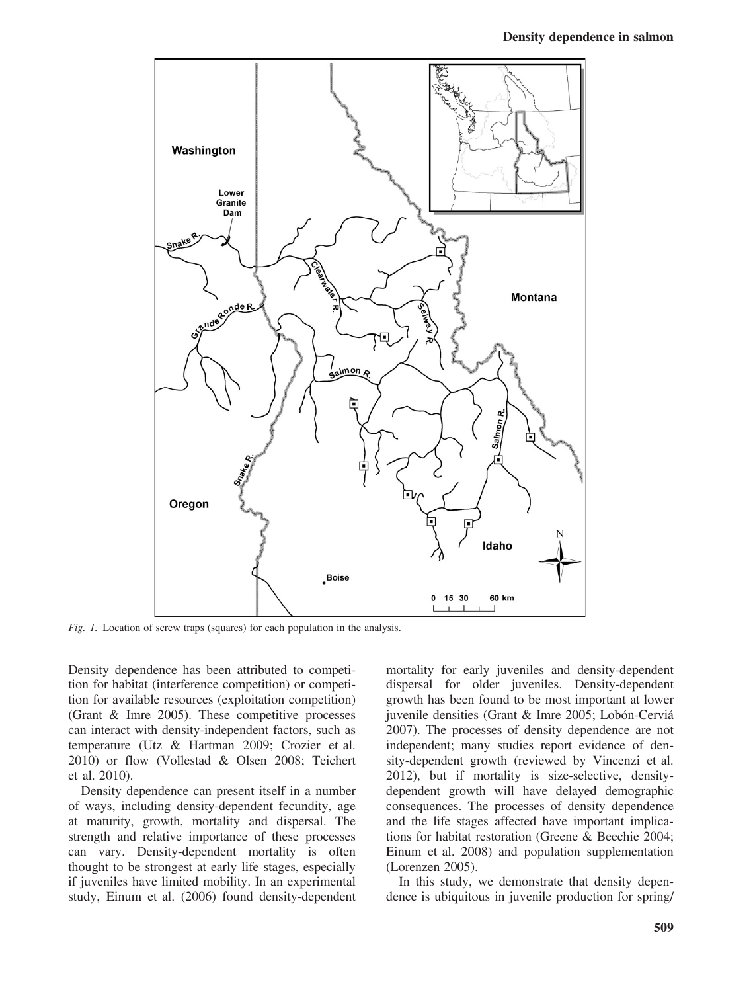

Fig. 1. Location of screw traps (squares) for each population in the analysis.

Density dependence has been attributed to competition for habitat (interference competition) or competition for available resources (exploitation competition) (Grant & Imre 2005). These competitive processes can interact with density-independent factors, such as temperature (Utz & Hartman 2009; Crozier et al. 2010) or flow (Vollestad & Olsen 2008; Teichert et al. 2010).

Density dependence can present itself in a number of ways, including density-dependent fecundity, age at maturity, growth, mortality and dispersal. The strength and relative importance of these processes can vary. Density-dependent mortality is often thought to be strongest at early life stages, especially if juveniles have limited mobility. In an experimental study, Einum et al. (2006) found density-dependent mortality for early juveniles and density-dependent dispersal for older juveniles. Density-dependent growth has been found to be most important at lower juvenile densities (Grant & Imre 2005; Lobón-Cerviá 2007). The processes of density dependence are not independent; many studies report evidence of density-dependent growth (reviewed by Vincenzi et al. 2012), but if mortality is size-selective, densitydependent growth will have delayed demographic consequences. The processes of density dependence and the life stages affected have important implications for habitat restoration (Greene & Beechie 2004; Einum et al. 2008) and population supplementation (Lorenzen 2005).

In this study, we demonstrate that density dependence is ubiquitous in juvenile production for spring/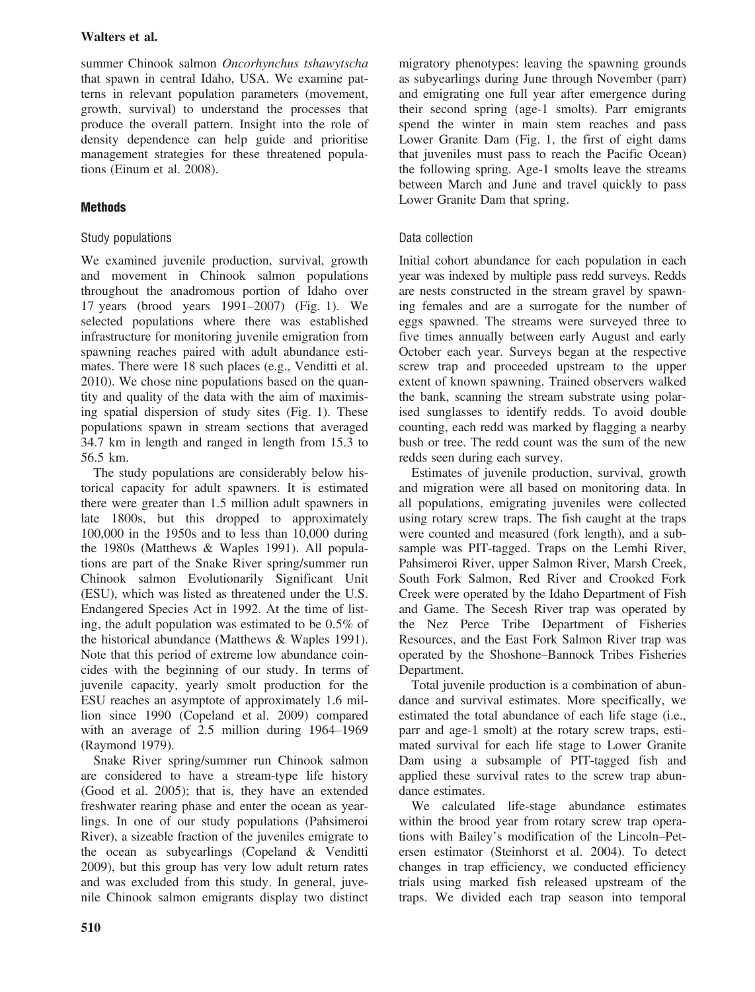summer Chinook salmon Oncorhynchus tshawytscha that spawn in central Idaho, USA. We examine patterns in relevant population parameters (movement, growth, survival) to understand the processes that produce the overall pattern. Insight into the role of density dependence can help guide and prioritise management strategies for these threatened populations (Einum et al. 2008).

# **Methods**

# Study populations

We examined juvenile production, survival, growth and movement in Chinook salmon populations throughout the anadromous portion of Idaho over 17 years (brood years 1991–2007) (Fig. 1). We selected populations where there was established infrastructure for monitoring juvenile emigration from spawning reaches paired with adult abundance estimates. There were 18 such places (e.g., Venditti et al. 2010). We chose nine populations based on the quantity and quality of the data with the aim of maximising spatial dispersion of study sites (Fig. 1). These populations spawn in stream sections that averaged 34.7 km in length and ranged in length from 15.3 to 56.5 km.

The study populations are considerably below historical capacity for adult spawners. It is estimated there were greater than 1.5 million adult spawners in late 1800s, but this dropped to approximately 100,000 in the 1950s and to less than 10,000 during the 1980s (Matthews & Waples 1991). All populations are part of the Snake River spring/summer run Chinook salmon Evolutionarily Significant Unit (ESU), which was listed as threatened under the U.S. Endangered Species Act in 1992. At the time of listing, the adult population was estimated to be 0.5% of the historical abundance (Matthews & Waples 1991). Note that this period of extreme low abundance coincides with the beginning of our study. In terms of juvenile capacity, yearly smolt production for the ESU reaches an asymptote of approximately 1.6 million since 1990 (Copeland et al. 2009) compared with an average of 2.5 million during 1964–1969 (Raymond 1979).

Snake River spring/summer run Chinook salmon are considered to have a stream-type life history (Good et al. 2005); that is, they have an extended freshwater rearing phase and enter the ocean as yearlings. In one of our study populations (Pahsimeroi River), a sizeable fraction of the juveniles emigrate to the ocean as subyearlings (Copeland & Venditti 2009), but this group has very low adult return rates and was excluded from this study. In general, juvenile Chinook salmon emigrants display two distinct migratory phenotypes: leaving the spawning grounds as subyearlings during June through November (parr) and emigrating one full year after emergence during their second spring (age-1 smolts). Parr emigrants spend the winter in main stem reaches and pass Lower Granite Dam (Fig. 1, the first of eight dams that juveniles must pass to reach the Pacific Ocean) the following spring. Age-1 smolts leave the streams between March and June and travel quickly to pass Lower Granite Dam that spring.

# Data collection

Initial cohort abundance for each population in each year was indexed by multiple pass redd surveys. Redds are nests constructed in the stream gravel by spawning females and are a surrogate for the number of eggs spawned. The streams were surveyed three to five times annually between early August and early October each year. Surveys began at the respective screw trap and proceeded upstream to the upper extent of known spawning. Trained observers walked the bank, scanning the stream substrate using polarised sunglasses to identify redds. To avoid double counting, each redd was marked by flagging a nearby bush or tree. The redd count was the sum of the new redds seen during each survey.

Estimates of juvenile production, survival, growth and migration were all based on monitoring data. In all populations, emigrating juveniles were collected using rotary screw traps. The fish caught at the traps were counted and measured (fork length), and a subsample was PIT-tagged. Traps on the Lemhi River, Pahsimeroi River, upper Salmon River, Marsh Creek, South Fork Salmon, Red River and Crooked Fork Creek were operated by the Idaho Department of Fish and Game. The Secesh River trap was operated by the Nez Perce Tribe Department of Fisheries Resources, and the East Fork Salmon River trap was operated by the Shoshone–Bannock Tribes Fisheries Department.

Total juvenile production is a combination of abundance and survival estimates. More specifically, we estimated the total abundance of each life stage (i.e., parr and age-1 smolt) at the rotary screw traps, estimated survival for each life stage to Lower Granite Dam using a subsample of PIT-tagged fish and applied these survival rates to the screw trap abundance estimates.

We calculated life-stage abundance estimates within the brood year from rotary screw trap operations with Bailey's modification of the Lincoln–Petersen estimator (Steinhorst et al. 2004). To detect changes in trap efficiency, we conducted efficiency trials using marked fish released upstream of the traps. We divided each trap season into temporal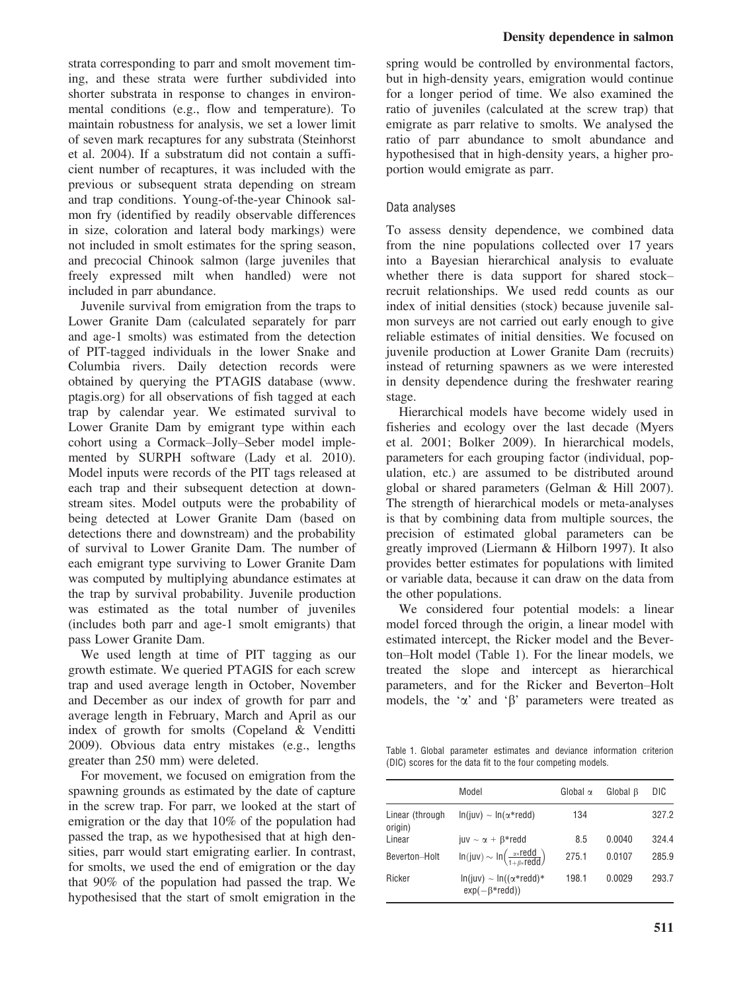strata corresponding to parr and smolt movement timing, and these strata were further subdivided into shorter substrata in response to changes in environmental conditions (e.g., flow and temperature). To maintain robustness for analysis, we set a lower limit of seven mark recaptures for any substrata (Steinhorst et al. 2004). If a substratum did not contain a sufficient number of recaptures, it was included with the previous or subsequent strata depending on stream and trap conditions. Young-of-the-year Chinook salmon fry (identified by readily observable differences in size, coloration and lateral body markings) were not included in smolt estimates for the spring season, and precocial Chinook salmon (large juveniles that freely expressed milt when handled) were not included in parr abundance.

Juvenile survival from emigration from the traps to Lower Granite Dam (calculated separately for parr and age-1 smolts) was estimated from the detection of PIT-tagged individuals in the lower Snake and Columbia rivers. Daily detection records were obtained by querying the PTAGIS database (www. ptagis.org) for all observations of fish tagged at each trap by calendar year. We estimated survival to Lower Granite Dam by emigrant type within each cohort using a Cormack–Jolly–Seber model implemented by SURPH software (Lady et al. 2010). Model inputs were records of the PIT tags released at each trap and their subsequent detection at downstream sites. Model outputs were the probability of being detected at Lower Granite Dam (based on detections there and downstream) and the probability of survival to Lower Granite Dam. The number of each emigrant type surviving to Lower Granite Dam was computed by multiplying abundance estimates at the trap by survival probability. Juvenile production was estimated as the total number of juveniles (includes both parr and age-1 smolt emigrants) that pass Lower Granite Dam.

We used length at time of PIT tagging as our growth estimate. We queried PTAGIS for each screw trap and used average length in October, November and December as our index of growth for parr and average length in February, March and April as our index of growth for smolts (Copeland & Venditti 2009). Obvious data entry mistakes (e.g., lengths greater than 250 mm) were deleted.

For movement, we focused on emigration from the spawning grounds as estimated by the date of capture in the screw trap. For parr, we looked at the start of emigration or the day that 10% of the population had passed the trap, as we hypothesised that at high densities, parr would start emigrating earlier. In contrast, for smolts, we used the end of emigration or the day that 90% of the population had passed the trap. We hypothesised that the start of smolt emigration in the

spring would be controlled by environmental factors, but in high-density years, emigration would continue for a longer period of time. We also examined the ratio of juveniles (calculated at the screw trap) that emigrate as parr relative to smolts. We analysed the ratio of parr abundance to smolt abundance and hypothesised that in high-density years, a higher proportion would emigrate as parr.

## Data analyses

To assess density dependence, we combined data from the nine populations collected over 17 years into a Bayesian hierarchical analysis to evaluate whether there is data support for shared stock– recruit relationships. We used redd counts as our index of initial densities (stock) because juvenile salmon surveys are not carried out early enough to give reliable estimates of initial densities. We focused on juvenile production at Lower Granite Dam (recruits) instead of returning spawners as we were interested in density dependence during the freshwater rearing stage.

Hierarchical models have become widely used in fisheries and ecology over the last decade (Myers et al. 2001; Bolker 2009). In hierarchical models, parameters for each grouping factor (individual, population, etc.) are assumed to be distributed around global or shared parameters (Gelman & Hill 2007). The strength of hierarchical models or meta-analyses is that by combining data from multiple sources, the precision of estimated global parameters can be greatly improved (Liermann & Hilborn 1997). It also provides better estimates for populations with limited or variable data, because it can draw on the data from the other populations.

We considered four potential models: a linear model forced through the origin, a linear model with estimated intercept, the Ricker model and the Beverton–Holt model (Table 1). For the linear models, we treated the slope and intercept as hierarchical parameters, and for the Ricker and Beverton–Holt models, the ' $\alpha$ ' and ' $\beta$ ' parameters were treated as

Table 1. Global parameter estimates and deviance information criterion (DIC) scores for the data fit to the four competing models.

|                            | Model                                                                           | Global $\alpha$ | Global $\beta$ | DIC   |
|----------------------------|---------------------------------------------------------------------------------|-----------------|----------------|-------|
| Linear (through<br>origin) | $ln(iuv) \sim ln(\alpha^* \text{red} d)$                                        | 134             |                | 327.2 |
| Linear                     | juv $\sim \alpha + \beta^*$ redd                                                | 8.5             | 0.0040         | 324.4 |
| Beverton-Holt              | $\ln(iuv) \sim \ln\left(\frac{x * \text{redd}}{1 + \beta * \text{redd}}\right)$ | 275.1           | 0.0107         | 285.9 |
| Ricker                     | $ln(iuv) \sim ln((\alpha * redd) *$<br>$exp(-\beta * redd))$                    | 198.1           | 0.0029         | 293.7 |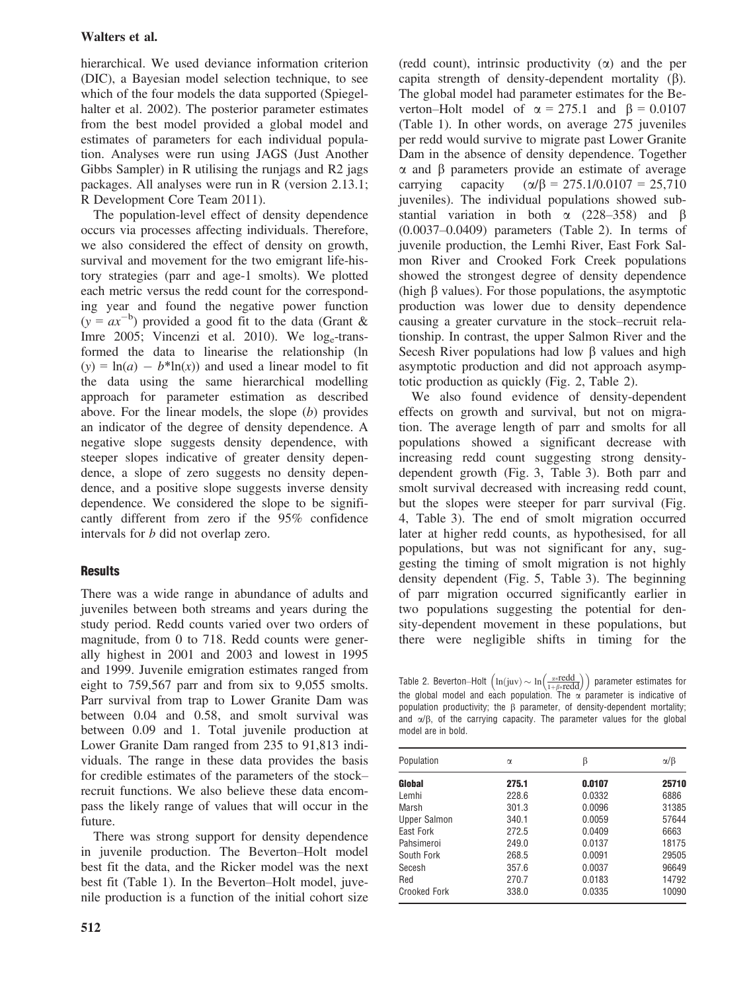hierarchical. We used deviance information criterion (DIC), a Bayesian model selection technique, to see which of the four models the data supported (Spiegelhalter et al. 2002). The posterior parameter estimates from the best model provided a global model and estimates of parameters for each individual population. Analyses were run using JAGS (Just Another Gibbs Sampler) in R utilising the runjags and R2 jags packages. All analyses were run in R (version 2.13.1; R Development Core Team 2011).

The population-level effect of density dependence occurs via processes affecting individuals. Therefore, we also considered the effect of density on growth, survival and movement for the two emigrant life-history strategies (parr and age-1 smolts). We plotted each metric versus the redd count for the corresponding year and found the negative power function  $(y = ax^{-b})$  provided a good fit to the data (Grant & Imre 2005; Vincenzi et al. 2010). We log<sub>e</sub>-transformed the data to linearise the relationship (ln  $(y) = \ln(a) - b^* \ln(x)$  and used a linear model to fit the data using the same hierarchical modelling approach for parameter estimation as described above. For the linear models, the slope (b) provides an indicator of the degree of density dependence. A negative slope suggests density dependence, with steeper slopes indicative of greater density dependence, a slope of zero suggests no density dependence, and a positive slope suggests inverse density dependence. We considered the slope to be significantly different from zero if the 95% confidence intervals for b did not overlap zero.

## **Results**

There was a wide range in abundance of adults and juveniles between both streams and years during the study period. Redd counts varied over two orders of magnitude, from 0 to 718. Redd counts were generally highest in 2001 and 2003 and lowest in 1995 and 1999. Juvenile emigration estimates ranged from eight to 759,567 parr and from six to 9,055 smolts. Parr survival from trap to Lower Granite Dam was between 0.04 and 0.58, and smolt survival was between 0.09 and 1. Total juvenile production at Lower Granite Dam ranged from 235 to 91,813 individuals. The range in these data provides the basis for credible estimates of the parameters of the stock– recruit functions. We also believe these data encompass the likely range of values that will occur in the future.

There was strong support for density dependence in juvenile production. The Beverton–Holt model best fit the data, and the Ricker model was the next best fit (Table 1). In the Beverton–Holt model, juvenile production is a function of the initial cohort size (redd count), intrinsic productivity  $(\alpha)$  and the per capita strength of density-dependent mortality  $(\beta)$ . The global model had parameter estimates for the Beverton–Holt model of  $\alpha = 275.1$  and  $\beta = 0.0107$ (Table 1). In other words, on average 275 juveniles per redd would survive to migrate past Lower Granite Dam in the absence of density dependence. Together  $\alpha$  and  $\beta$  parameters provide an estimate of average carrying capacity  $(\alpha/\beta = 275.1/0.0107 = 25.710$ juveniles). The individual populations showed substantial variation in both  $\alpha$  (228–358) and  $\beta$ (0.0037–0.0409) parameters (Table 2). In terms of juvenile production, the Lemhi River, East Fork Salmon River and Crooked Fork Creek populations showed the strongest degree of density dependence (high  $\beta$  values). For those populations, the asymptotic production was lower due to density dependence causing a greater curvature in the stock–recruit relationship. In contrast, the upper Salmon River and the Secesh River populations had low  $\beta$  values and high asymptotic production and did not approach asymptotic production as quickly (Fig. 2, Table 2).

We also found evidence of density-dependent effects on growth and survival, but not on migration. The average length of parr and smolts for all populations showed a significant decrease with increasing redd count suggesting strong densitydependent growth (Fig. 3, Table 3). Both parr and smolt survival decreased with increasing redd count, but the slopes were steeper for parr survival (Fig. 4, Table 3). The end of smolt migration occurred later at higher redd counts, as hypothesised, for all populations, but was not significant for any, suggesting the timing of smolt migration is not highly density dependent (Fig. 5, Table 3). The beginning of parr migration occurred significantly earlier in two populations suggesting the potential for density-dependent movement in these populations, but there were negligible shifts in timing for the

Table 2. Beverton–Holt  $\left(\ln(juv) \sim \ln\left(\frac{x*\text{redd}}{1+\beta*\text{redd}}\right)\right)$  parameter estimates for the global model and each population. The  $\alpha$  parameter is indicative of population productivity; the  $\beta$  parameter, of density-dependent mortality; and  $\alpha/\beta$ , of the carrying capacity. The parameter values for the global model are in bold.

| Population          | $\alpha$ | β      | $\alpha/\beta$ |  |  |
|---------------------|----------|--------|----------------|--|--|
| Global              | 275.1    | 0.0107 | 25710          |  |  |
| Lemhi               | 228.6    | 0.0332 | 6886           |  |  |
| Marsh               | 301.3    | 0.0096 | 31385          |  |  |
| <b>Upper Salmon</b> | 340.1    | 0.0059 | 57644          |  |  |
| East Fork           | 272.5    | 0.0409 | 6663           |  |  |
| Pahsimeroi          | 249.0    | 0.0137 | 18175          |  |  |
| South Fork          | 268.5    | 0.0091 | 29505          |  |  |
| Secesh              | 357.6    | 0.0037 | 96649          |  |  |
| Red                 | 270.7    | 0.0183 | 14792          |  |  |
| Crooked Fork        | 338.0    | 0.0335 | 10090          |  |  |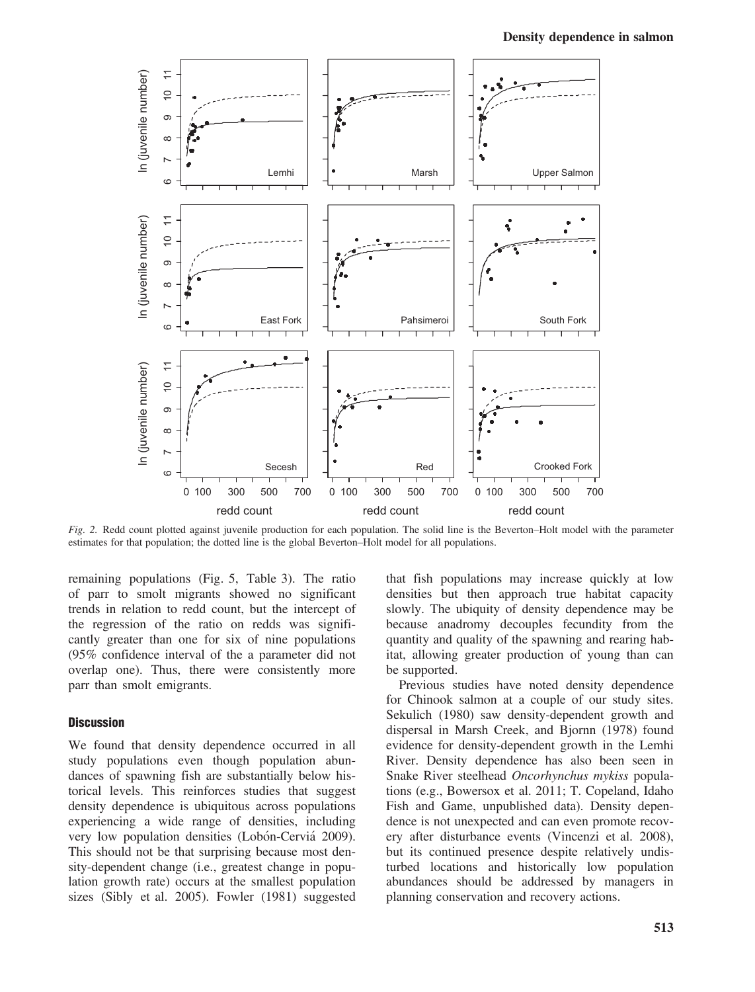

Fig. 2. Redd count plotted against juvenile production for each population. The solid line is the Beverton–Holt model with the parameter estimates for that population; the dotted line is the global Beverton–Holt model for all populations.

remaining populations (Fig. 5, Table 3). The ratio of parr to smolt migrants showed no significant trends in relation to redd count, but the intercept of the regression of the ratio on redds was significantly greater than one for six of nine populations (95% confidence interval of the a parameter did not overlap one). Thus, there were consistently more parr than smolt emigrants.

#### **Discussion**

We found that density dependence occurred in all study populations even though population abundances of spawning fish are substantially below historical levels. This reinforces studies that suggest density dependence is ubiquitous across populations experiencing a wide range of densities, including very low population densities (Lobón-Cerviá 2009). This should not be that surprising because most density-dependent change (i.e., greatest change in population growth rate) occurs at the smallest population sizes (Sibly et al. 2005). Fowler (1981) suggested that fish populations may increase quickly at low densities but then approach true habitat capacity slowly. The ubiquity of density dependence may be because anadromy decouples fecundity from the quantity and quality of the spawning and rearing habitat, allowing greater production of young than can be supported.

Previous studies have noted density dependence for Chinook salmon at a couple of our study sites. Sekulich (1980) saw density-dependent growth and dispersal in Marsh Creek, and Bjornn (1978) found evidence for density-dependent growth in the Lemhi River. Density dependence has also been seen in Snake River steelhead Oncorhynchus mykiss populations (e.g., Bowersox et al. 2011; T. Copeland, Idaho Fish and Game, unpublished data). Density dependence is not unexpected and can even promote recovery after disturbance events (Vincenzi et al. 2008), but its continued presence despite relatively undisturbed locations and historically low population abundances should be addressed by managers in planning conservation and recovery actions.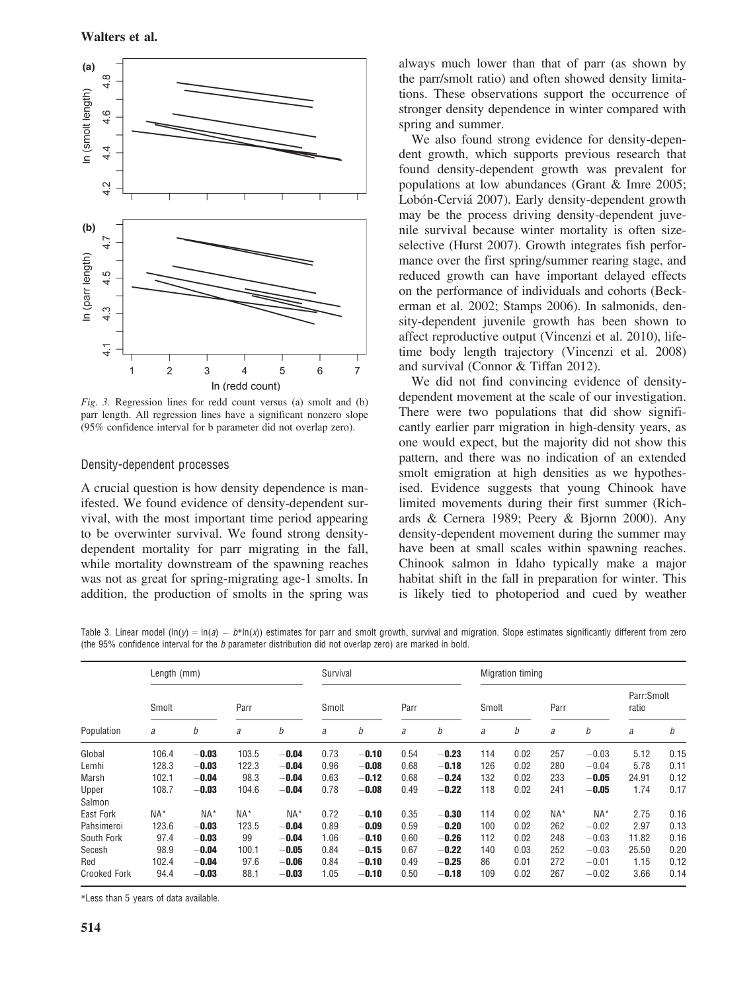

Fig. 3. Regression lines for redd count versus (a) smolt and (b) parr length. All regression lines have a significant nonzero slope (95% confidence interval for b parameter did not overlap zero).

#### Density-dependent processes

A crucial question is how density dependence is manifested. We found evidence of density-dependent survival, with the most important time period appearing to be overwinter survival. We found strong densitydependent mortality for parr migrating in the fall, while mortality downstream of the spawning reaches was not as great for spring-migrating age-1 smolts. In addition, the production of smolts in the spring was always much lower than that of parr (as shown by the parr/smolt ratio) and often showed density limitations. These observations support the occurrence of stronger density dependence in winter compared with spring and summer.

We also found strong evidence for density-dependent growth, which supports previous research that found density-dependent growth was prevalent for populations at low abundances (Grant & Imre 2005; Lobón-Cerviá 2007). Early density-dependent growth may be the process driving density-dependent juvenile survival because winter mortality is often sizeselective (Hurst 2007). Growth integrates fish performance over the first spring/summer rearing stage, and reduced growth can have important delayed effects on the performance of individuals and cohorts (Beckerman et al. 2002; Stamps 2006). In salmonids, density-dependent juvenile growth has been shown to affect reproductive output (Vincenzi et al. 2010), lifetime body length trajectory (Vincenzi et al. 2008) and survival (Connor & Tiffan 2012).

We did not find convincing evidence of densitydependent movement at the scale of our investigation. There were two populations that did show significantly earlier parr migration in high-density years, as one would expect, but the majority did not show this pattern, and there was no indication of an extended smolt emigration at high densities as we hypothesised. Evidence suggests that young Chinook have limited movements during their first summer (Richards & Cernera 1989; Peery & Bjornn 2000). Any density-dependent movement during the summer may have been at small scales within spawning reaches. Chinook salmon in Idaho typically make a major habitat shift in the fall in preparation for winter. This is likely tied to photoperiod and cued by weather

Table 3. Linear model  $(\ln(y) = \ln(a) - b^* \ln(x))$  estimates for parr and smolt growth, survival and migration. Slope estimates significantly different from zero (the 95% confidence interval for the b parameter distribution did not overlap zero) are marked in bold.

| Population          | Length (mm) |         |        |         | Survival |         |      | Migration timing |       |      |                  |         |                     |      |
|---------------------|-------------|---------|--------|---------|----------|---------|------|------------------|-------|------|------------------|---------|---------------------|------|
|                     | Smolt       |         | Parr   |         | Smolt    |         | Parr |                  | Smolt |      | Parr             |         | Parr:Smolt<br>ratio |      |
|                     | a           | b       | a      | b       | a        | b       | a    | b                | a     | b    | $\boldsymbol{a}$ | b       | a                   | b    |
| Global              | 106.4       | $-0.03$ | 103.5  | $-0.04$ | 0.73     | $-0.10$ | 0.54 | $-0.23$          | 114   | 0.02 | 257              | $-0.03$ | 5.12                | 0.15 |
| Lemhi               | 128.3       | $-0.03$ | 122.3  | $-0.04$ | 0.96     | $-0.08$ | 0.68 | $-0.18$          | 126   | 0.02 | 280              | $-0.04$ | 5.78                | 0.11 |
| Marsh               | 102.1       | $-0.04$ | 98.3   | $-0.04$ | 0.63     | $-0.12$ | 0.68 | $-0.24$          | 132   | 0.02 | 233              | $-0.05$ | 24.91               | 0.12 |
| Upper               | 108.7       | $-0.03$ | 104.6  | $-0.04$ | 0.78     | $-0.08$ | 0.49 | $-0.22$          | 118   | 0.02 | 241              | $-0.05$ | 1.74                | 0.17 |
| Salmon              |             |         |        |         |          |         |      |                  |       |      |                  |         |                     |      |
| East Fork           | $NA^*$      | $NA^*$  | $NA^*$ | $NA^*$  | 0.72     | $-0.10$ | 0.35 | $-0.30$          | 114   | 0.02 | $NA^*$           | $NA^*$  | 2.75                | 0.16 |
| Pahsimeroi          | 123.6       | $-0.03$ | 123.5  | $-0.04$ | 0.89     | $-0.09$ | 0.59 | $-0.20$          | 100   | 0.02 | 262              | $-0.02$ | 2.97                | 0.13 |
| South Fork          | 97.4        | $-0.03$ | 99     | $-0.04$ | 1.06     | $-0.10$ | 0.60 | $-0.26$          | 112   | 0.02 | 248              | $-0.03$ | 11.82               | 0.16 |
| Secesh              | 98.9        | $-0.04$ | 100.1  | $-0.05$ | 0.84     | $-0.15$ | 0.67 | $-0.22$          | 140   | 0.03 | 252              | $-0.03$ | 25.50               | 0.20 |
| Red                 | 102.4       | $-0.04$ | 97.6   | $-0.06$ | 0.84     | $-0.10$ | 0.49 | $-0.25$          | 86    | 0.01 | 272              | $-0.01$ | 1.15                | 0.12 |
| <b>Crooked Fork</b> | 94.4        | $-0.03$ | 88.1   | $-0.03$ | 1.05     | $-0.10$ | 0.50 | $-0.18$          | 109   | 0.02 | 267              | $-0.02$ | 3.66                | 0.14 |

\*Less than 5 years of data available.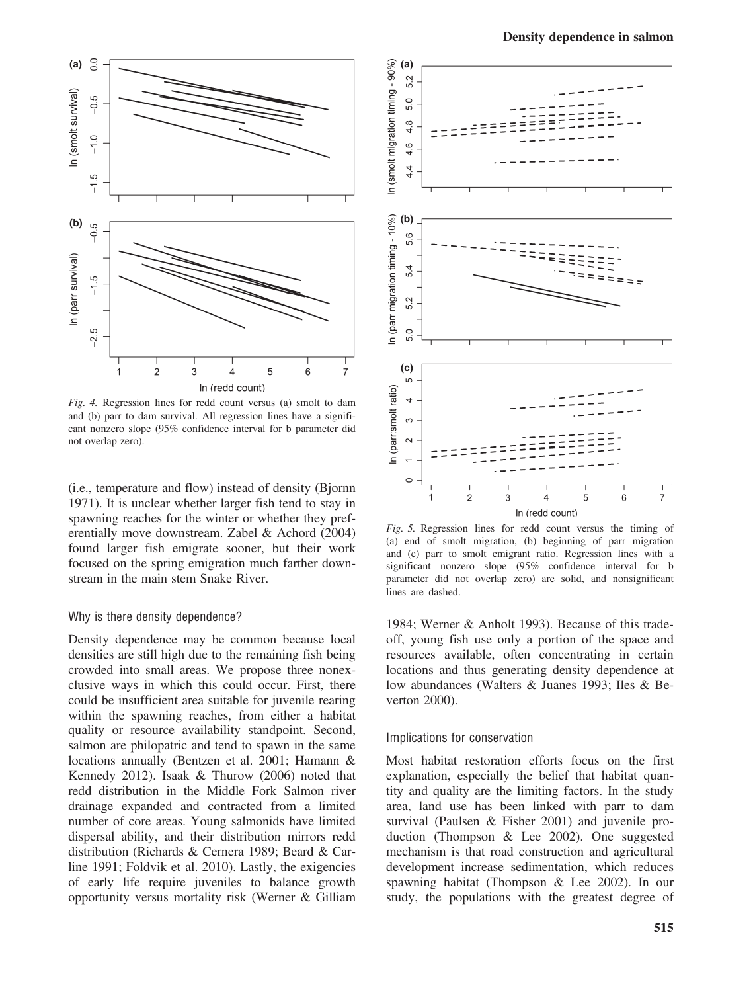

Fig. 4. Regression lines for redd count versus (a) smolt to dam and (b) parr to dam survival. All regression lines have a significant nonzero slope (95% confidence interval for b parameter did not overlap zero).

(i.e., temperature and flow) instead of density (Bjornn 1971). It is unclear whether larger fish tend to stay in spawning reaches for the winter or whether they preferentially move downstream. Zabel & Achord (2004) found larger fish emigrate sooner, but their work focused on the spring emigration much farther downstream in the main stem Snake River.

#### Why is there density dependence?

Density dependence may be common because local densities are still high due to the remaining fish being crowded into small areas. We propose three nonexclusive ways in which this could occur. First, there could be insufficient area suitable for juvenile rearing within the spawning reaches, from either a habitat quality or resource availability standpoint. Second, salmon are philopatric and tend to spawn in the same locations annually (Bentzen et al. 2001; Hamann & Kennedy 2012). Isaak & Thurow (2006) noted that redd distribution in the Middle Fork Salmon river drainage expanded and contracted from a limited number of core areas. Young salmonids have limited dispersal ability, and their distribution mirrors redd distribution (Richards & Cernera 1989; Beard & Carline 1991; Foldvik et al. 2010). Lastly, the exigencies of early life require juveniles to balance growth opportunity versus mortality risk (Werner & Gilliam



Fig. 5. Regression lines for redd count versus the timing of (a) end of smolt migration, (b) beginning of parr migration and (c) parr to smolt emigrant ratio. Regression lines with a significant nonzero slope (95% confidence interval for b parameter did not overlap zero) are solid, and nonsignificant lines are dashed.

1984; Werner & Anholt 1993). Because of this tradeoff, young fish use only a portion of the space and resources available, often concentrating in certain locations and thus generating density dependence at low abundances (Walters & Juanes 1993; Iles & Beverton 2000).

### Implications for conservation

Most habitat restoration efforts focus on the first explanation, especially the belief that habitat quantity and quality are the limiting factors. In the study area, land use has been linked with parr to dam survival (Paulsen & Fisher 2001) and juvenile production (Thompson & Lee 2002). One suggested mechanism is that road construction and agricultural development increase sedimentation, which reduces spawning habitat (Thompson & Lee 2002). In our study, the populations with the greatest degree of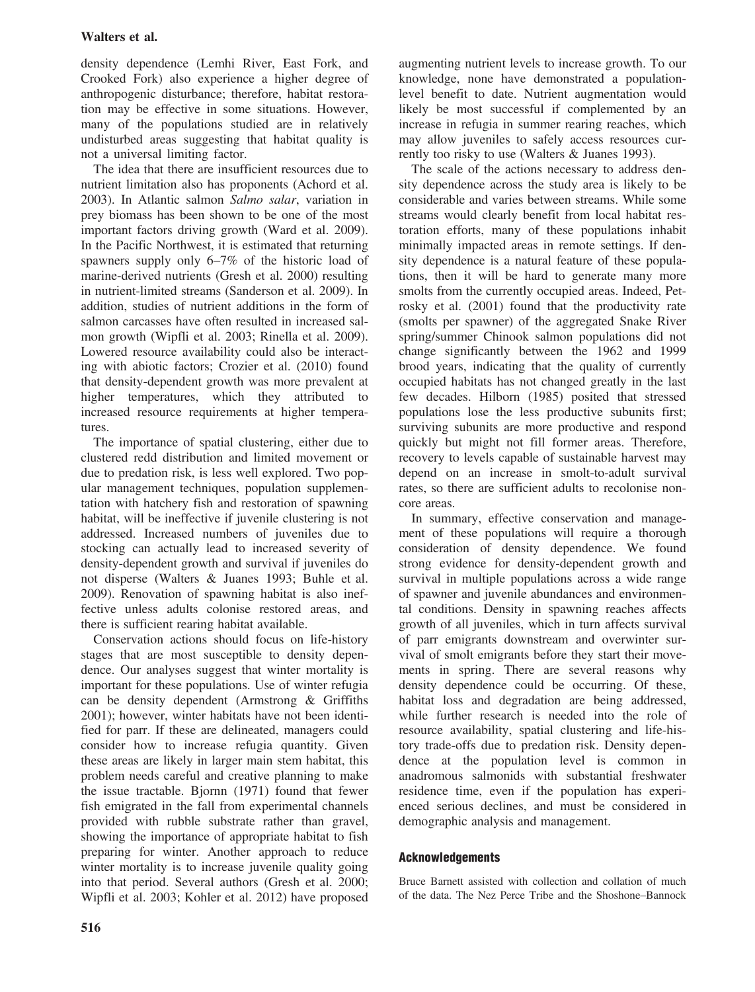density dependence (Lemhi River, East Fork, and Crooked Fork) also experience a higher degree of anthropogenic disturbance; therefore, habitat restoration may be effective in some situations. However, many of the populations studied are in relatively undisturbed areas suggesting that habitat quality is not a universal limiting factor.

The idea that there are insufficient resources due to nutrient limitation also has proponents (Achord et al. 2003). In Atlantic salmon Salmo salar, variation in prey biomass has been shown to be one of the most important factors driving growth (Ward et al. 2009). In the Pacific Northwest, it is estimated that returning spawners supply only 6–7% of the historic load of marine-derived nutrients (Gresh et al. 2000) resulting in nutrient-limited streams (Sanderson et al. 2009). In addition, studies of nutrient additions in the form of salmon carcasses have often resulted in increased salmon growth (Wipfli et al. 2003; Rinella et al. 2009). Lowered resource availability could also be interacting with abiotic factors; Crozier et al. (2010) found that density-dependent growth was more prevalent at higher temperatures, which they attributed to increased resource requirements at higher temperatures.

The importance of spatial clustering, either due to clustered redd distribution and limited movement or due to predation risk, is less well explored. Two popular management techniques, population supplementation with hatchery fish and restoration of spawning habitat, will be ineffective if juvenile clustering is not addressed. Increased numbers of juveniles due to stocking can actually lead to increased severity of density-dependent growth and survival if juveniles do not disperse (Walters & Juanes 1993; Buhle et al. 2009). Renovation of spawning habitat is also ineffective unless adults colonise restored areas, and there is sufficient rearing habitat available.

Conservation actions should focus on life-history stages that are most susceptible to density dependence. Our analyses suggest that winter mortality is important for these populations. Use of winter refugia can be density dependent (Armstrong & Griffiths 2001); however, winter habitats have not been identified for parr. If these are delineated, managers could consider how to increase refugia quantity. Given these areas are likely in larger main stem habitat, this problem needs careful and creative planning to make the issue tractable. Bjornn (1971) found that fewer fish emigrated in the fall from experimental channels provided with rubble substrate rather than gravel, showing the importance of appropriate habitat to fish preparing for winter. Another approach to reduce winter mortality is to increase juvenile quality going into that period. Several authors (Gresh et al. 2000; Wipfli et al. 2003; Kohler et al. 2012) have proposed augmenting nutrient levels to increase growth. To our knowledge, none have demonstrated a populationlevel benefit to date. Nutrient augmentation would likely be most successful if complemented by an increase in refugia in summer rearing reaches, which may allow juveniles to safely access resources currently too risky to use (Walters & Juanes 1993).

The scale of the actions necessary to address density dependence across the study area is likely to be considerable and varies between streams. While some streams would clearly benefit from local habitat restoration efforts, many of these populations inhabit minimally impacted areas in remote settings. If density dependence is a natural feature of these populations, then it will be hard to generate many more smolts from the currently occupied areas. Indeed, Petrosky et al. (2001) found that the productivity rate (smolts per spawner) of the aggregated Snake River spring/summer Chinook salmon populations did not change significantly between the 1962 and 1999 brood years, indicating that the quality of currently occupied habitats has not changed greatly in the last few decades. Hilborn (1985) posited that stressed populations lose the less productive subunits first; surviving subunits are more productive and respond quickly but might not fill former areas. Therefore, recovery to levels capable of sustainable harvest may depend on an increase in smolt-to-adult survival rates, so there are sufficient adults to recolonise noncore areas.

In summary, effective conservation and management of these populations will require a thorough consideration of density dependence. We found strong evidence for density-dependent growth and survival in multiple populations across a wide range of spawner and juvenile abundances and environmental conditions. Density in spawning reaches affects growth of all juveniles, which in turn affects survival of parr emigrants downstream and overwinter survival of smolt emigrants before they start their movements in spring. There are several reasons why density dependence could be occurring. Of these, habitat loss and degradation are being addressed, while further research is needed into the role of resource availability, spatial clustering and life-history trade-offs due to predation risk. Density dependence at the population level is common in anadromous salmonids with substantial freshwater residence time, even if the population has experienced serious declines, and must be considered in demographic analysis and management.

## Acknowledgements

Bruce Barnett assisted with collection and collation of much of the data. The Nez Perce Tribe and the Shoshone–Bannock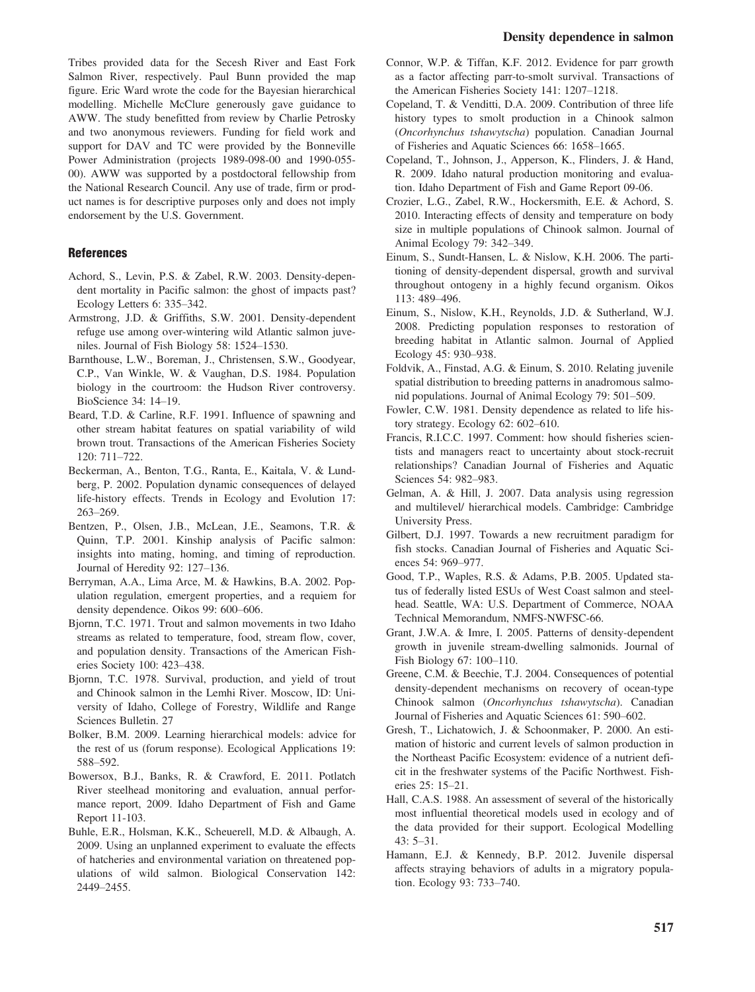Tribes provided data for the Secesh River and East Fork Salmon River, respectively. Paul Bunn provided the map figure. Eric Ward wrote the code for the Bayesian hierarchical modelling. Michelle McClure generously gave guidance to AWW. The study benefitted from review by Charlie Petrosky and two anonymous reviewers. Funding for field work and support for DAV and TC were provided by the Bonneville Power Administration (projects 1989-098-00 and 1990-055- 00). AWW was supported by a postdoctoral fellowship from the National Research Council. Any use of trade, firm or product names is for descriptive purposes only and does not imply endorsement by the U.S. Government.

#### References

- Achord, S., Levin, P.S. & Zabel, R.W. 2003. Density-dependent mortality in Pacific salmon: the ghost of impacts past? Ecology Letters 6: 335–342.
- Armstrong, J.D. & Griffiths, S.W. 2001. Density-dependent refuge use among over-wintering wild Atlantic salmon juveniles. Journal of Fish Biology 58: 1524–1530.
- Barnthouse, L.W., Boreman, J., Christensen, S.W., Goodyear, C.P., Van Winkle, W. & Vaughan, D.S. 1984. Population biology in the courtroom: the Hudson River controversy. BioScience 34: 14–19.
- Beard, T.D. & Carline, R.F. 1991. Influence of spawning and other stream habitat features on spatial variability of wild brown trout. Transactions of the American Fisheries Society 120: 711–722.
- Beckerman, A., Benton, T.G., Ranta, E., Kaitala, V. & Lundberg, P. 2002. Population dynamic consequences of delayed life-history effects. Trends in Ecology and Evolution 17: 263–269.
- Bentzen, P., Olsen, J.B., McLean, J.E., Seamons, T.R. & Quinn, T.P. 2001. Kinship analysis of Pacific salmon: insights into mating, homing, and timing of reproduction. Journal of Heredity 92: 127–136.
- Berryman, A.A., Lima Arce, M. & Hawkins, B.A. 2002. Population regulation, emergent properties, and a requiem for density dependence. Oikos 99: 600–606.
- Bjornn, T.C. 1971. Trout and salmon movements in two Idaho streams as related to temperature, food, stream flow, cover, and population density. Transactions of the American Fisheries Society 100: 423–438.
- Bjornn, T.C. 1978. Survival, production, and yield of trout and Chinook salmon in the Lemhi River. Moscow, ID: University of Idaho, College of Forestry, Wildlife and Range Sciences Bulletin. 27
- Bolker, B.M. 2009. Learning hierarchical models: advice for the rest of us (forum response). Ecological Applications 19: 588–592.
- Bowersox, B.J., Banks, R. & Crawford, E. 2011. Potlatch River steelhead monitoring and evaluation, annual performance report, 2009. Idaho Department of Fish and Game Report 11-103.
- Buhle, E.R., Holsman, K.K., Scheuerell, M.D. & Albaugh, A. 2009. Using an unplanned experiment to evaluate the effects of hatcheries and environmental variation on threatened populations of wild salmon. Biological Conservation 142: 2449–2455.
- Connor, W.P. & Tiffan, K.F. 2012. Evidence for parr growth as a factor affecting parr-to-smolt survival. Transactions of the American Fisheries Society 141: 1207–1218.
- Copeland, T. & Venditti, D.A. 2009. Contribution of three life history types to smolt production in a Chinook salmon (Oncorhynchus tshawytscha) population. Canadian Journal of Fisheries and Aquatic Sciences 66: 1658–1665.
- Copeland, T., Johnson, J., Apperson, K., Flinders, J. & Hand, R. 2009. Idaho natural production monitoring and evaluation. Idaho Department of Fish and Game Report 09-06.
- Crozier, L.G., Zabel, R.W., Hockersmith, E.E. & Achord, S. 2010. Interacting effects of density and temperature on body size in multiple populations of Chinook salmon. Journal of Animal Ecology 79: 342–349.
- Einum, S., Sundt-Hansen, L. & Nislow, K.H. 2006. The partitioning of density-dependent dispersal, growth and survival throughout ontogeny in a highly fecund organism. Oikos 113: 489–496.
- Einum, S., Nislow, K.H., Reynolds, J.D. & Sutherland, W.J. 2008. Predicting population responses to restoration of breeding habitat in Atlantic salmon. Journal of Applied Ecology 45: 930–938.
- Foldvik, A., Finstad, A.G. & Einum, S. 2010. Relating juvenile spatial distribution to breeding patterns in anadromous salmonid populations. Journal of Animal Ecology 79: 501–509.
- Fowler, C.W. 1981. Density dependence as related to life history strategy. Ecology 62: 602–610.
- Francis, R.I.C.C. 1997. Comment: how should fisheries scientists and managers react to uncertainty about stock-recruit relationships? Canadian Journal of Fisheries and Aquatic Sciences 54: 982–983.
- Gelman, A. & Hill, J. 2007. Data analysis using regression and multilevel/ hierarchical models. Cambridge: Cambridge University Press.
- Gilbert, D.J. 1997. Towards a new recruitment paradigm for fish stocks. Canadian Journal of Fisheries and Aquatic Sciences 54: 969–977.
- Good, T.P., Waples, R.S. & Adams, P.B. 2005. Updated status of federally listed ESUs of West Coast salmon and steelhead. Seattle, WA: U.S. Department of Commerce, NOAA Technical Memorandum, NMFS-NWFSC-66.
- Grant, J.W.A. & Imre, I. 2005. Patterns of density-dependent growth in juvenile stream-dwelling salmonids. Journal of Fish Biology 67: 100–110.
- Greene, C.M. & Beechie, T.J. 2004. Consequences of potential density-dependent mechanisms on recovery of ocean-type Chinook salmon (Oncorhynchus tshawytscha). Canadian Journal of Fisheries and Aquatic Sciences 61: 590–602.
- Gresh, T., Lichatowich, J. & Schoonmaker, P. 2000. An estimation of historic and current levels of salmon production in the Northeast Pacific Ecosystem: evidence of a nutrient deficit in the freshwater systems of the Pacific Northwest. Fisheries 25: 15–21.
- Hall, C.A.S. 1988. An assessment of several of the historically most influential theoretical models used in ecology and of the data provided for their support. Ecological Modelling 43: 5–31.
- Hamann, E.J. & Kennedy, B.P. 2012. Juvenile dispersal affects straying behaviors of adults in a migratory population. Ecology 93: 733–740.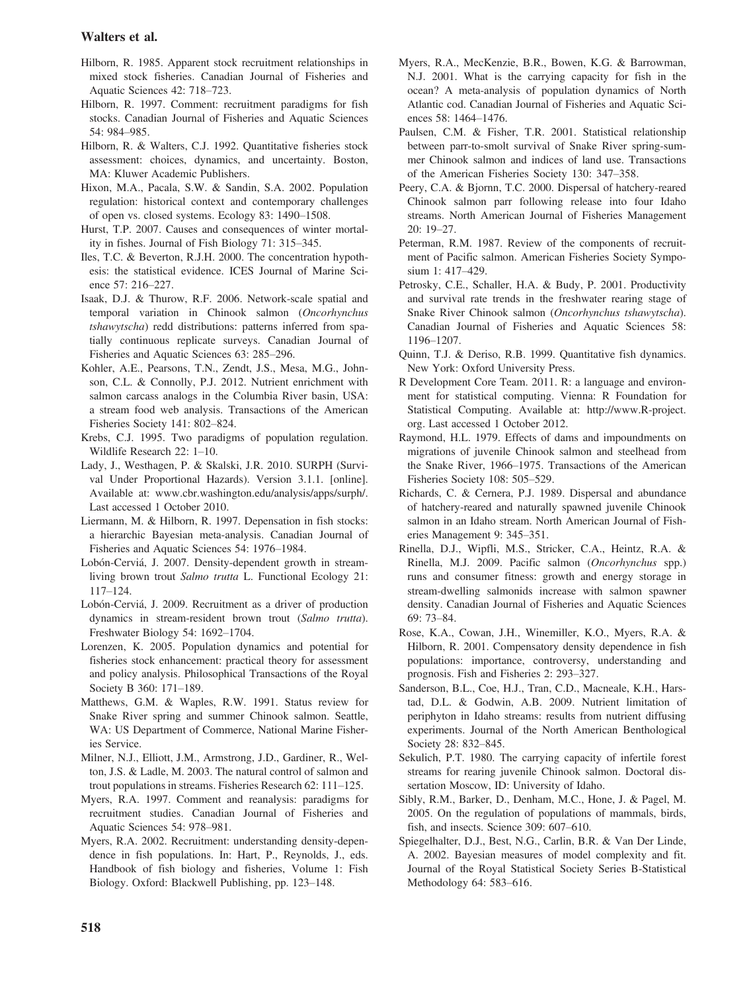- Hilborn, R. 1985. Apparent stock recruitment relationships in mixed stock fisheries. Canadian Journal of Fisheries and Aquatic Sciences 42: 718–723.
- Hilborn, R. 1997. Comment: recruitment paradigms for fish stocks. Canadian Journal of Fisheries and Aquatic Sciences 54: 984–985.
- Hilborn, R. & Walters, C.J. 1992. Quantitative fisheries stock assessment: choices, dynamics, and uncertainty. Boston, MA: Kluwer Academic Publishers.
- Hixon, M.A., Pacala, S.W. & Sandin, S.A. 2002. Population regulation: historical context and contemporary challenges of open vs. closed systems. Ecology 83: 1490–1508.
- Hurst, T.P. 2007. Causes and consequences of winter mortality in fishes. Journal of Fish Biology 71: 315–345.
- Iles, T.C. & Beverton, R.J.H. 2000. The concentration hypothesis: the statistical evidence. ICES Journal of Marine Science 57: 216–227.
- Isaak, D.J. & Thurow, R.F. 2006. Network-scale spatial and temporal variation in Chinook salmon (Oncorhynchus tshawytscha) redd distributions: patterns inferred from spatially continuous replicate surveys. Canadian Journal of Fisheries and Aquatic Sciences 63: 285–296.
- Kohler, A.E., Pearsons, T.N., Zendt, J.S., Mesa, M.G., Johnson, C.L. & Connolly, P.J. 2012. Nutrient enrichment with salmon carcass analogs in the Columbia River basin, USA: a stream food web analysis. Transactions of the American Fisheries Society 141: 802–824.
- Krebs, C.J. 1995. Two paradigms of population regulation. Wildlife Research 22: 1–10.
- Lady, J., Westhagen, P. & Skalski, J.R. 2010. SURPH (Survival Under Proportional Hazards). Version 3.1.1. [online]. Available at: www.cbr.washington.edu/analysis/apps/surph/. Last accessed 1 October 2010.
- Liermann, M. & Hilborn, R. 1997. Depensation in fish stocks: a hierarchic Bayesian meta-analysis. Canadian Journal of Fisheries and Aquatic Sciences 54: 1976–1984.
- Lobón-Cerviá, J. 2007. Density-dependent growth in streamliving brown trout Salmo trutta L. Functional Ecology 21: 117–124.
- Lobón-Cerviá, J. 2009. Recruitment as a driver of production dynamics in stream-resident brown trout (Salmo trutta). Freshwater Biology 54: 1692–1704.
- Lorenzen, K. 2005. Population dynamics and potential for fisheries stock enhancement: practical theory for assessment and policy analysis. Philosophical Transactions of the Royal Society B 360: 171–189.
- Matthews, G.M. & Waples, R.W. 1991. Status review for Snake River spring and summer Chinook salmon. Seattle, WA: US Department of Commerce, National Marine Fisheries Service.
- Milner, N.J., Elliott, J.M., Armstrong, J.D., Gardiner, R., Welton, J.S. & Ladle, M. 2003. The natural control of salmon and trout populations in streams. Fisheries Research 62: 111–125.
- Myers, R.A. 1997. Comment and reanalysis: paradigms for recruitment studies. Canadian Journal of Fisheries and Aquatic Sciences 54: 978–981.
- Myers, R.A. 2002. Recruitment: understanding density-dependence in fish populations. In: Hart, P., Reynolds, J., eds. Handbook of fish biology and fisheries, Volume 1: Fish Biology. Oxford: Blackwell Publishing, pp. 123–148.
- Myers, R.A., MecKenzie, B.R., Bowen, K.G. & Barrowman, N.J. 2001. What is the carrying capacity for fish in the ocean? A meta-analysis of population dynamics of North Atlantic cod. Canadian Journal of Fisheries and Aquatic Sciences 58: 1464–1476.
- Paulsen, C.M. & Fisher, T.R. 2001. Statistical relationship between parr-to-smolt survival of Snake River spring-summer Chinook salmon and indices of land use. Transactions of the American Fisheries Society 130: 347–358.
- Peery, C.A. & Bjornn, T.C. 2000. Dispersal of hatchery-reared Chinook salmon parr following release into four Idaho streams. North American Journal of Fisheries Management 20: 19–27.
- Peterman, R.M. 1987. Review of the components of recruitment of Pacific salmon. American Fisheries Society Symposium 1: 417–429.
- Petrosky, C.E., Schaller, H.A. & Budy, P. 2001. Productivity and survival rate trends in the freshwater rearing stage of Snake River Chinook salmon (Oncorhynchus tshawytscha). Canadian Journal of Fisheries and Aquatic Sciences 58: 1196–1207.
- Quinn, T.J. & Deriso, R.B. 1999. Quantitative fish dynamics. New York: Oxford University Press.
- R Development Core Team. 2011. R: a language and environment for statistical computing. Vienna: R Foundation for Statistical Computing. Available at: http://www.R-project. org. Last accessed 1 October 2012.
- Raymond, H.L. 1979. Effects of dams and impoundments on migrations of juvenile Chinook salmon and steelhead from the Snake River, 1966–1975. Transactions of the American Fisheries Society 108: 505–529.
- Richards, C. & Cernera, P.J. 1989. Dispersal and abundance of hatchery-reared and naturally spawned juvenile Chinook salmon in an Idaho stream. North American Journal of Fisheries Management 9: 345–351.
- Rinella, D.J., Wipfli, M.S., Stricker, C.A., Heintz, R.A. & Rinella, M.J. 2009. Pacific salmon (Oncorhynchus spp.) runs and consumer fitness: growth and energy storage in stream-dwelling salmonids increase with salmon spawner density. Canadian Journal of Fisheries and Aquatic Sciences 69: 73–84.
- Rose, K.A., Cowan, J.H., Winemiller, K.O., Myers, R.A. & Hilborn, R. 2001. Compensatory density dependence in fish populations: importance, controversy, understanding and prognosis. Fish and Fisheries 2: 293–327.
- Sanderson, B.L., Coe, H.J., Tran, C.D., Macneale, K.H., Harstad, D.L. & Godwin, A.B. 2009. Nutrient limitation of periphyton in Idaho streams: results from nutrient diffusing experiments. Journal of the North American Benthological Society 28: 832–845.
- Sekulich, P.T. 1980. The carrying capacity of infertile forest streams for rearing juvenile Chinook salmon. Doctoral dissertation Moscow, ID: University of Idaho.
- Sibly, R.M., Barker, D., Denham, M.C., Hone, J. & Pagel, M. 2005. On the regulation of populations of mammals, birds, fish, and insects. Science 309: 607–610.
- Spiegelhalter, D.J., Best, N.G., Carlin, B.R. & Van Der Linde, A. 2002. Bayesian measures of model complexity and fit. Journal of the Royal Statistical Society Series B-Statistical Methodology 64: 583–616.